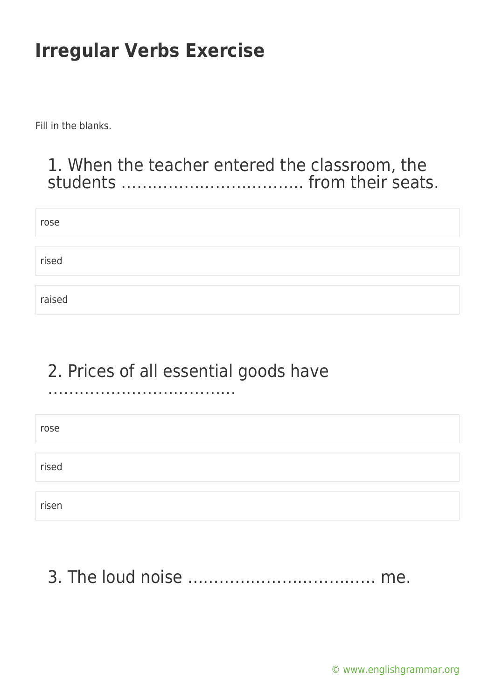Fill in the blanks.

#### 1. When the teacher entered the classroom, the students …………………………….. from their seats.

| rose   |  |  |
|--------|--|--|
|        |  |  |
| rised  |  |  |
|        |  |  |
| raised |  |  |

### 2. Prices of all essential goods have

………………………………

| rose  |  |  |
|-------|--|--|
|       |  |  |
| rised |  |  |
|       |  |  |
| risen |  |  |

#### 3. The loud noise ……………………………… me.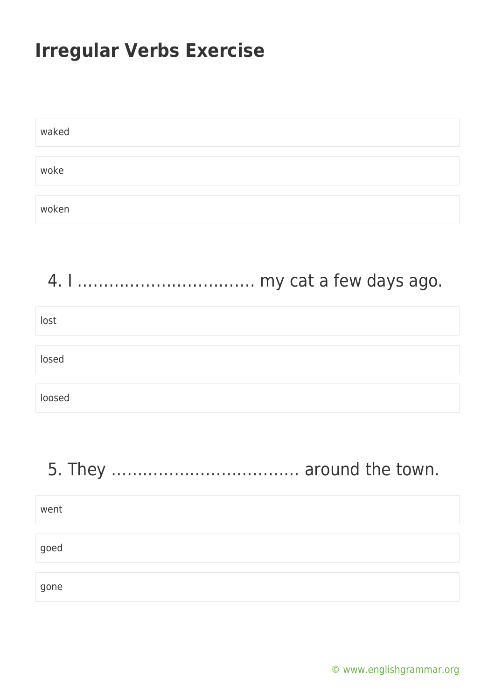| waked |  |
|-------|--|
|       |  |
| woke  |  |
|       |  |
| woken |  |

| lost   |  |
|--------|--|
| losed  |  |
| loosed |  |

# 5. They ……………………………… around the town.

| went |  |  |  |
|------|--|--|--|
|      |  |  |  |
| goed |  |  |  |
|      |  |  |  |
| gone |  |  |  |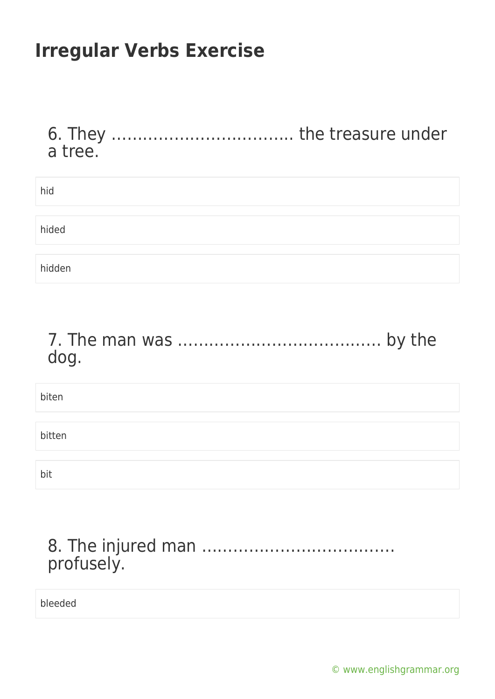| a tree. |  |
|---------|--|
| hid     |  |
| hided   |  |
| hidden  |  |

#### 7. The man was ………………………………… by the dog.

| biten  |  |
|--------|--|
|        |  |
| bitten |  |
|        |  |
| bit    |  |

| profusely. |  |  |  |  |  |  |  |
|------------|--|--|--|--|--|--|--|

bleeded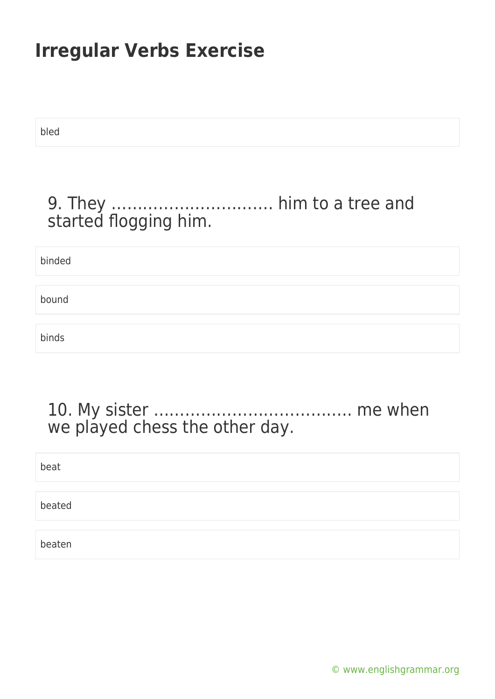bled

#### 9. They …………………………. him to a tree and started flogging him.

binded bound binds

#### 10. My sister ……………………………….. me when we played chess the other day.

| beat   |  |
|--------|--|
|        |  |
| beated |  |
|        |  |
| beaten |  |

[© www.englishgrammar.org](https://www.englishgrammar.org/)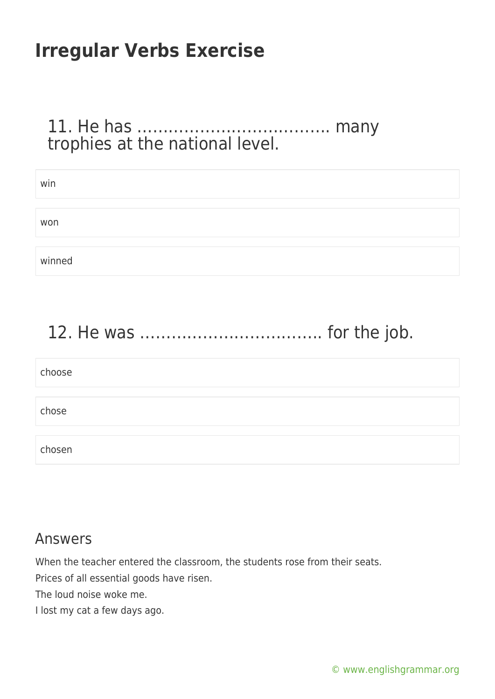#### 11. He has ………………………………. many trophies at the national level.

| win    |  |
|--------|--|
|        |  |
| won    |  |
|        |  |
| winned |  |

# 12. He was …………………………….. for the job.

| choose |  |  |  |
|--------|--|--|--|
|        |  |  |  |
| chose  |  |  |  |
|        |  |  |  |
| chosen |  |  |  |

#### Answers

When the teacher entered the classroom, the students rose from their seats.

Prices of all essential goods have risen.

The loud noise woke me.

I lost my cat a few days ago.